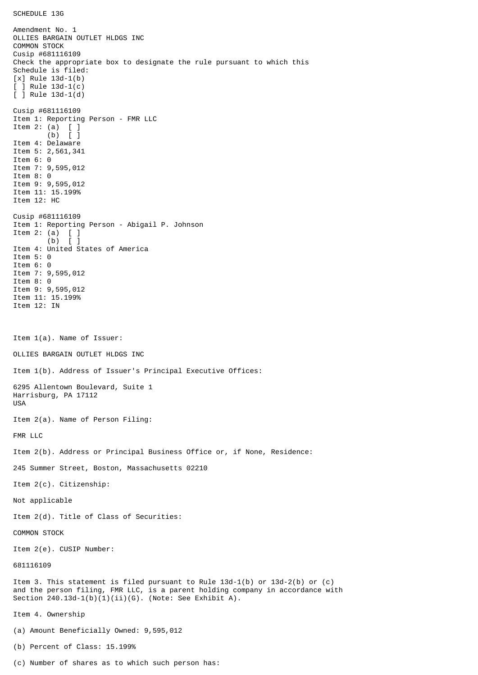SCHEDULE 13G

Amendment No. 1 OLLIES BARGAIN OUTLET HLDGS INC COMMON STOCK Cusip #681116109 Check the appropriate box to designate the rule pursuant to which this Schedule is filed: [x] Rule 13d-1(b) [ ] Rule 13d-1(c) [ ] Rule 13d-1(d) Cusip #681116109 Item 1: Reporting Person - FMR LLC Item 2: (a) [ ] (b) [ ] Item 4: Delaware Item 5: 2,561,341 Item 6: 0 Item 7: 9,595,012 Item 8: 0 Item 9: 9,595,012 Item 11: 15.199% Item 12: HC Cusip #681116109 Item 1: Reporting Person - Abigail P. Johnson Item 2: (a)  $\begin{bmatrix} 1 \\ 0 \end{bmatrix}$  $(b)$ Item 4: United States of America Item 5: 0 Item 6: 0 Item 7: 9,595,012 Item 8: 0 Item 9: 9,595,012 Item 11: 15.199% Item 12: IN Item 1(a). Name of Issuer: OLLIES BARGAIN OUTLET HLDGS INC Item 1(b). Address of Issuer's Principal Executive Offices: 6295 Allentown Boulevard, Suite 1 Harrisburg, PA 17112 USA Item 2(a). Name of Person Filing: FMR LLC Item 2(b). Address or Principal Business Office or, if None, Residence: 245 Summer Street, Boston, Massachusetts 02210 Item 2(c). Citizenship: Not applicable Item 2(d). Title of Class of Securities: COMMON STOCK Item 2(e). CUSIP Number: 681116109 Item 3. This statement is filed pursuant to Rule 13d-1(b) or 13d-2(b) or (c) and the person filing, FMR LLC, is a parent holding company in accordance with Section  $240.13d-1(b)(1)(ii)(G)$ . (Note: See Exhibit A). Item 4. Ownership (a) Amount Beneficially Owned: 9,595,012 (b) Percent of Class: 15.199%

(c) Number of shares as to which such person has: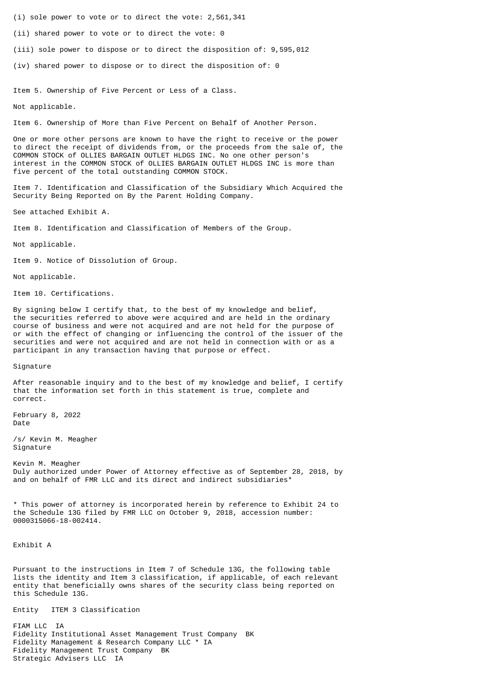(i) sole power to vote or to direct the vote: 2,561,341

(ii) shared power to vote or to direct the vote: 0

(iii) sole power to dispose or to direct the disposition of: 9,595,012

(iv) shared power to dispose or to direct the disposition of: 0

Item 5. Ownership of Five Percent or Less of a Class.

Not applicable.

Item 6. Ownership of More than Five Percent on Behalf of Another Person.

One or more other persons are known to have the right to receive or the power to direct the receipt of dividends from, or the proceeds from the sale of, the COMMON STOCK of OLLIES BARGAIN OUTLET HLDGS INC. No one other person's interest in the COMMON STOCK of OLLIES BARGAIN OUTLET HLDGS INC is more than five percent of the total outstanding COMMON STOCK.

Item 7. Identification and Classification of the Subsidiary Which Acquired the Security Being Reported on By the Parent Holding Company.

See attached Exhibit A.

Item 8. Identification and Classification of Members of the Group.

Not applicable.

Item 9. Notice of Dissolution of Group.

Not applicable.

Item 10. Certifications.

By signing below I certify that, to the best of my knowledge and belief, the securities referred to above were acquired and are held in the ordinary course of business and were not acquired and are not held for the purpose of or with the effect of changing or influencing the control of the issuer of the securities and were not acquired and are not held in connection with or as a participant in any transaction having that purpose or effect.

Signature

After reasonable inquiry and to the best of my knowledge and belief, I certify that the information set forth in this statement is true, complete and correct.

February 8, 2022 Date

/s/ Kevin M. Meagher Signature

Kevin M. Meagher Duly authorized under Power of Attorney effective as of September 28, 2018, by and on behalf of FMR LLC and its direct and indirect subsidiaries\*

\* This power of attorney is incorporated herein by reference to Exhibit 24 to the Schedule 13G filed by FMR LLC on October 9, 2018, accession number: 0000315066-18-002414.

Exhibit A

Pursuant to the instructions in Item 7 of Schedule 13G, the following table lists the identity and Item 3 classification, if applicable, of each relevant entity that beneficially owns shares of the security class being reported on this Schedule 13G.

Entity ITEM 3 Classification

FIAM LLC IA Fidelity Institutional Asset Management Trust Company BK Fidelity Management & Research Company LLC \* IA Fidelity Management Trust Company BK Strategic Advisers LLC IA